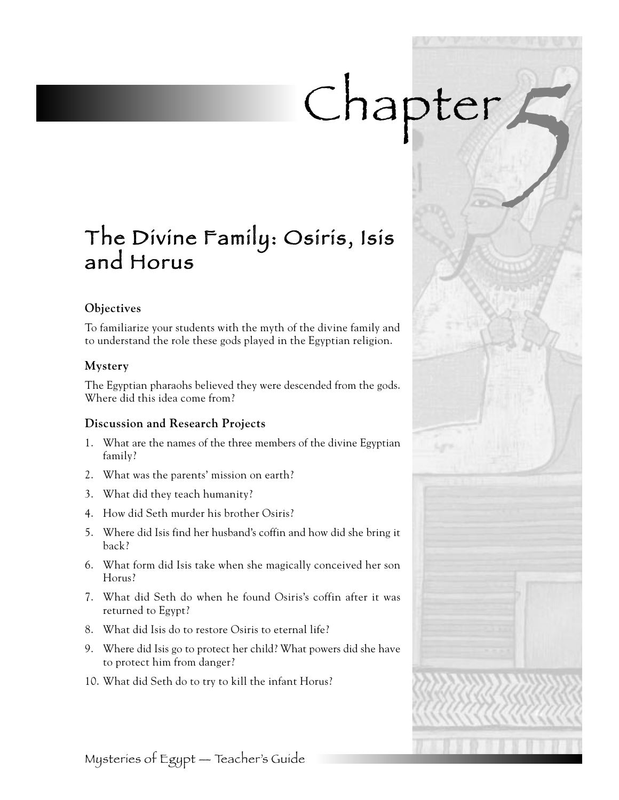# Chapter,

# The Divine Family: Osiris, Isis and Horus

#### **Objectives**

To familiarize your students with the myth of the divine family and to understand the role these gods played in the Egyptian religion.

#### **Mystery**

The Egyptian pharaohs believed they were descended from the gods. Where did this idea come from?

#### **Discussion and Research Projects**

- 1. What are the names of the three members of the divine Egyptian family?
- 2. What was the parents' mission on earth?
- 3. What did they teach humanity?
- 4. How did Seth murder his brother Osiris?
- 5. Where did Isis find her husband's coffin and how did she bring it back?
- 6. What form did Isis take when she magically conceived her son Horus?
- 7. What did Seth do when he found Osiris's coffin after it was returned to Egypt?
- 8. What did Isis do to restore Osiris to eternal life?
- 9. Where did Isis go to protect her child? What powers did she have to protect him from danger?
- 10. What did Seth do to try to kill the infant Horus?

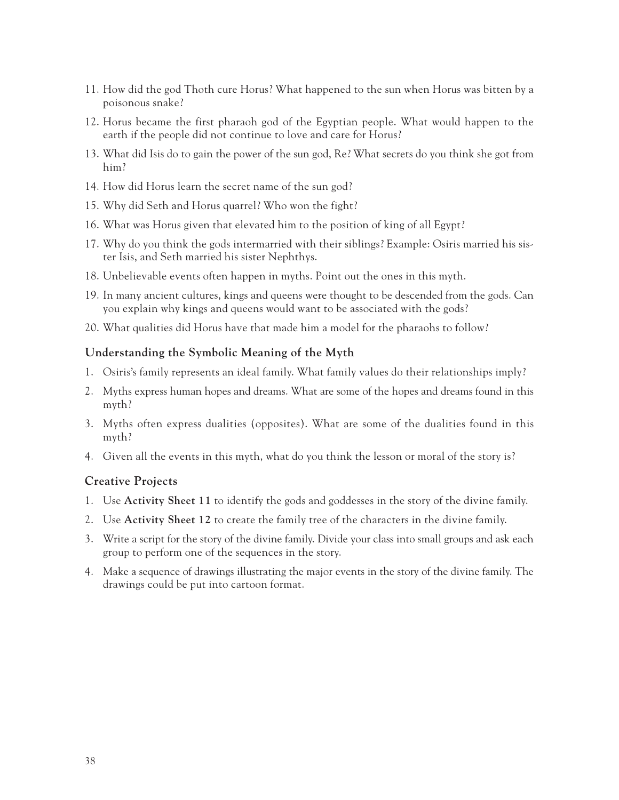- 11. How did the god Thoth cure Horus? What happened to the sun when Horus was bitten by a poisonous snake?
- 12. Horus became the first pharaoh god of the Egyptian people. What would happen to the earth if the people did not continue to love and care for Horus?
- 13. What did Isis do to gain the power of the sun god, Re? What secrets do you think she got from him?
- 14. How did Horus learn the secret name of the sun god?
- 15. Why did Seth and Horus quarrel? Who won the fight?
- 16. What was Horus given that elevated him to the position of king of all Egypt?
- 17. Why do you think the gods intermarried with their siblings? Example: Osiris married his sister Isis, and Seth married his sister Nephthys.
- 18. Unbelievable events often happen in myths. Point out the ones in this myth.
- 19. In many ancient cultures, kings and queens were thought to be descended from the gods. Can you explain why kings and queens would want to be associated with the gods?
- 20. What qualities did Horus have that made him a model for the pharaohs to follow?

#### **Understanding the Symbolic Meaning of the Myth**

- 1. Osiris's family represents an ideal family. What family values do their relationships imply?
- 2. Myths express human hopes and dreams. What are some of the hopes and dreams found in this myth?
- 3. Myths often express dualities (opposites). What are some of the dualities found in this myth?
- 4. Given all the events in this myth, what do you think the lesson or moral of the story is?

#### **Creative Projects**

- 1. Use **Activity Sheet 11** to identify the gods and goddesses in the story of the divine family.
- 2. Use **Activity Sheet 12** to create the family tree of the characters in the divine family.
- 3. Write a script for the story of the divine family. Divide your class into small groups and ask each group to perform one of the sequences in the story.
- 4. Make a sequence of drawings illustrating the major events in the story of the divine family. The drawings could be put into cartoon format.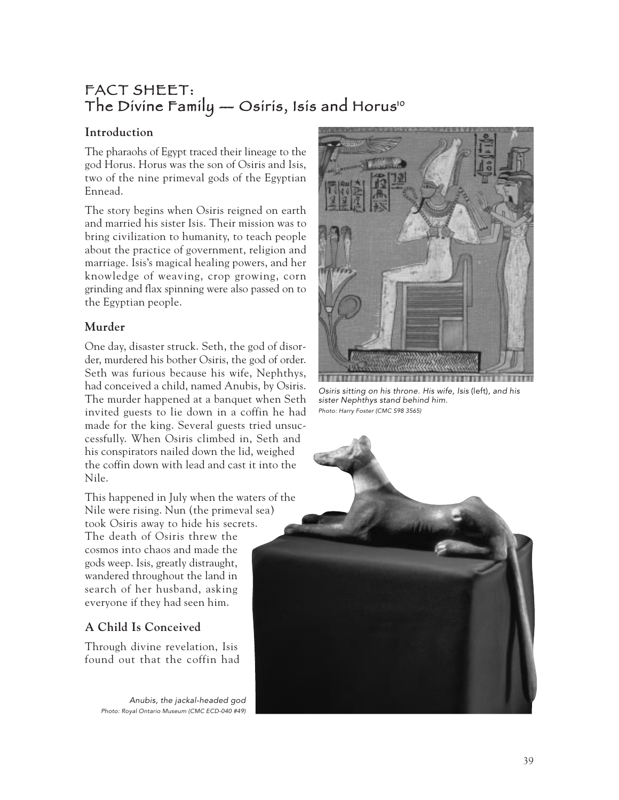## FACT SHEET: The Divine Family  $-$  Osiris, Isis and Horus<sup>10</sup>

#### **Introduction**

The pharaohs of Egypt traced their lineage to the god Horus. Horus was the son of Osiris and Isis, two of the nine primeval gods of the Egyptian Ennead.

The story begins when Osiris reigned on earth and married his sister Isis. Their mission was to bring civilization to humanity, to teach people about the practice of government, religion and marriage. Isis's magical healing powers, and her knowledge of weaving, crop growing, corn grinding and flax spinning were also passed on to the Egyptian people.

#### **Murder**

One day, disaster struck. Seth, the god of disorder, murdered his bother Osiris, the god of order. Seth was furious because his wife, Nephthys, had conceived a child, named Anubis, by Osiris. The murder happened at a banquet when Seth invited guests to lie down in a coffin he had made for the king. Several guests tried unsuccessfully. When Osiris climbed in, Seth and his conspirators nailed down the lid, weighed the coffin down with lead and cast it into the Nile.

This happened in July when the waters of the Nile were rising. Nun (the primeval sea) took Osiris away to hide his secrets. The death of Osiris threw the cosmos into chaos and made the gods weep. Isis, greatly distraught, wandered throughout the land in search of her husband, asking everyone if they had seen him.

### **A Child Is Conceived**

Through divine revelation, Isis found out that the coffin had

> Anubis, the jackal-headed god Photo: Royal Ontario Museum (CMC ECD-040 #49)



Osiris sitting on his throne. His wife, Isis (left), and his sister Nephthys stand behind him. Photo: Harry Foster (CMC S98 3565)

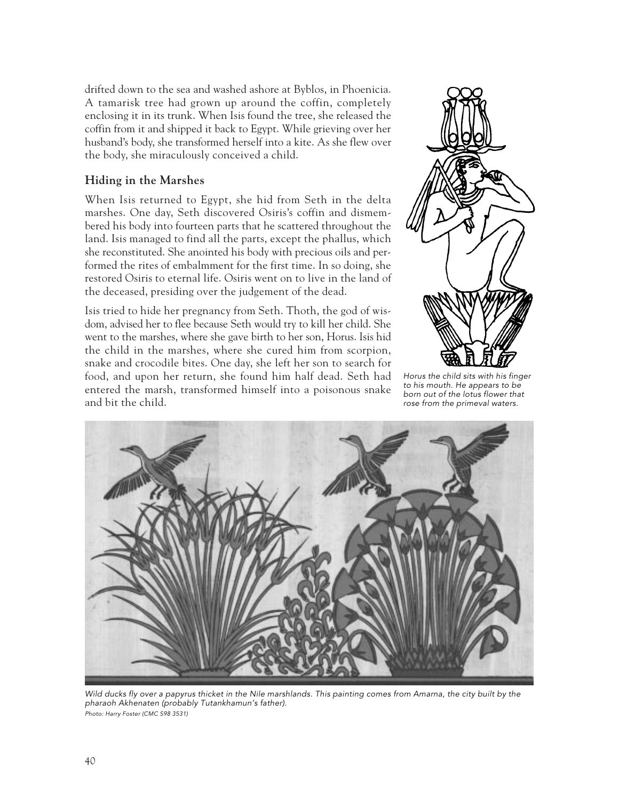drifted down to the sea and washed ashore at Byblos, in Phoenicia. A tamarisk tree had grown up around the coffin, completely enclosing it in its trunk. When Isis found the tree, she released the coffin from it and shipped it back to Egypt. While grieving over her husband's body, she transformed herself into a kite. As she flew over the body, she miraculously conceived a child.

#### **Hiding in the Marshes**

When Isis returned to Egypt, she hid from Seth in the delta marshes. One day, Seth discovered Osiris's coffin and dismembered his body into fourteen parts that he scattered throughout the land. Isis managed to find all the parts, except the phallus, which she reconstituted. She anointed his body with precious oils and performed the rites of embalmment for the first time. In so doing, she restored Osiris to eternal life. Osiris went on to live in the land of the deceased, presiding over the judgement of the dead.

Isis tried to hide her pregnancy from Seth. Thoth, the god of wisdom, advised her to flee because Seth would try to kill her child. She went to the marshes, where she gave birth to her son, Horus. Isis hid the child in the marshes, where she cured him from scorpion, snake and crocodile bites. One day, she left her son to search for food, and upon her return, she found him half dead. Seth had entered the marsh, transformed himself into a poisonous snake and bit the child.



Horus the child sits with his finger to his mouth. He appears to be born out of the lotus flower that rose from the primeval waters.



Wild ducks fly over a papyrus thicket in the Nile marshlands. This painting comes from Amarna, the city built by the pharaoh Akhenaten (probably Tutankhamun's father). Photo: Harry Foster (CMC S98 3531)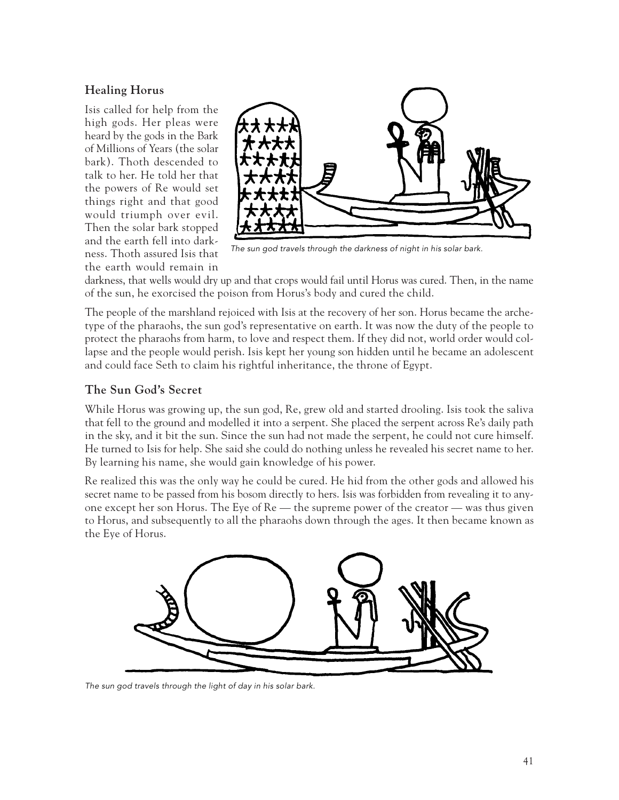#### **Healing Horus**

Isis called for help from the high gods. Her pleas were heard by the gods in the Bark of Millions of Years (the solar bark). Thoth descended to talk to her. He told her that the powers of Re would set things right and that good would triumph over evil. Then the solar bark stopped and the earth fell into darkness. Thoth assured Isis that the earth would remain in



The sun god travels through the darkness of night in his solar bark.

darkness, that wells would dry up and that crops would fail until Horus was cured. Then, in the name of the sun, he exorcised the poison from Horus's body and cured the child.

The people of the marshland rejoiced with Isis at the recovery of her son. Horus became the archetype of the pharaohs, the sun god's representative on earth. It was now the duty of the people to protect the pharaohs from harm, to love and respect them. If they did not, world order would collapse and the people would perish. Isis kept her young son hidden until he became an adolescent and could face Seth to claim his rightful inheritance, the throne of Egypt.

#### **The Sun God's Secret**

While Horus was growing up, the sun god, Re, grew old and started drooling. Isis took the saliva that fell to the ground and modelled it into a serpent. She placed the serpent across Re's daily path in the sky, and it bit the sun. Since the sun had not made the serpent, he could not cure himself. He turned to Isis for help. She said she could do nothing unless he revealed his secret name to her. By learning his name, she would gain knowledge of his power.

Re realized this was the only way he could be cured. He hid from the other gods and allowed his secret name to be passed from his bosom directly to hers. Isis was forbidden from revealing it to anyone except her son Horus. The Eye of Re — the supreme power of the creator — was thus given to Horus, and subsequently to all the pharaohs down through the ages. It then became known as the Eye of Horus.



The sun god travels through the light of day in his solar bark.